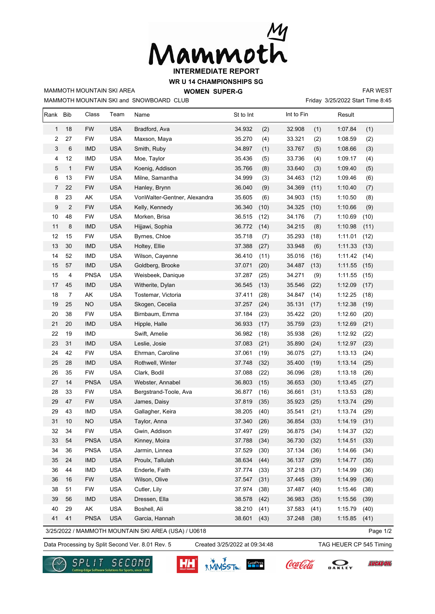

**WR U 14 CHAMPIONSHIPS SG** 

MAMMOTH MOUNTAIN SKI and SNOWBOARD CLUB MAMMOTH MOUNTAIN SKI AREA

**WOMEN SUPER-G** 

Friday 3/25/2022 Start Time 8:45 FAR WEST

| Rank                                                            | <b>Bib</b>     | Class       | Team       | Name                         | St to Int |      | Int to Fin |      | Result  |      |
|-----------------------------------------------------------------|----------------|-------------|------------|------------------------------|-----------|------|------------|------|---------|------|
| $\mathbf{1}$                                                    | 18             | <b>FW</b>   | <b>USA</b> | Bradford, Ava                | 34.932    | (2)  | 32.908     | (1)  | 1:07.84 | (1)  |
| 2                                                               | 27             | <b>FW</b>   | <b>USA</b> | Maxson, Maya                 | 35.270    | (4)  | 33.321     | (2)  | 1:08.59 | (2)  |
| 3                                                               | 6              | <b>IMD</b>  | <b>USA</b> | Smith, Ruby                  | 34.897    | (1)  | 33.767     | (5)  | 1:08.66 | (3)  |
| 4                                                               | 12             | <b>IMD</b>  | <b>USA</b> | Moe, Taylor                  | 35.436    | (5)  | 33.736     | (4)  | 1:09.17 | (4)  |
| 5                                                               | $\mathbf{1}$   | <b>FW</b>   | <b>USA</b> | Koenig, Addison              | 35.766    | (8)  | 33.640     | (3)  | 1:09.40 | (5)  |
| 6                                                               | 13             | FW          | <b>USA</b> | Milne, Samantha              | 34.999    | (3)  | 34.463     | (12) | 1:09.46 | (6)  |
| 7                                                               | 22             | <b>FW</b>   | <b>USA</b> | Hanley, Brynn                | 36.040    | (9)  | 34.369     | (11) | 1:10.40 | (7)  |
| 8                                                               | 23             | AΚ          | <b>USA</b> | VonWalter-Gentner, Alexandra | 35.605    | (6)  | 34.903     | (15) | 1:10.50 | (8)  |
| 9                                                               | $\sqrt{2}$     | <b>FW</b>   | <b>USA</b> | Kelly, Kennedy               | 36.340    | (10) | 34.325     | (10) | 1:10.66 | (9)  |
| 10                                                              | 48             | <b>FW</b>   | <b>USA</b> | Morken, Brisa                | 36.515    | (12) | 34.176     | (7)  | 1:10.69 | (10) |
| 11                                                              | 8              | <b>IMD</b>  | <b>USA</b> | Hijjawi, Sophia              | 36.772    | (14) | 34.215     | (8)  | 1:10.98 | (11) |
| 12                                                              | 15             | <b>FW</b>   | <b>USA</b> | Byrnes, Chloe                | 35.718    | (7)  | 35.293     | (18) | 1:11.01 | (12) |
| 13                                                              | 30             | <b>IMD</b>  | <b>USA</b> | Holtey, Ellie                | 37.388    | (27) | 33.948     | (6)  | 1:11.33 | (13) |
| 14                                                              | 52             | <b>IMD</b>  | <b>USA</b> | Wilson, Cayenne              | 36.410    | (11) | 35.016     | (16) | 1:11.42 | (14) |
| 15                                                              | 57             | <b>IMD</b>  | <b>USA</b> | Goldberg, Brooke             | 37.071    | (20) | 34.487     | (13) | 1:11.55 | (15) |
| 15                                                              | 4              | <b>PNSA</b> | <b>USA</b> | Weisbeek, Danique            | 37.287    | (25) | 34.271     | (9)  | 1:11.55 | (15) |
| 17                                                              | 45             | <b>IMD</b>  | <b>USA</b> | Witherite, Dylan             | 36.545    | (13) | 35.546     | (22) | 1:12.09 | (17) |
| 18                                                              | $\overline{7}$ | AK          | <b>USA</b> | Tostemar, Victoria           | 37.411    | (28) | 34.847     | (14) | 1:12.25 | (18) |
| 19                                                              | 25             | <b>NO</b>   | <b>USA</b> | Skogen, Cecelia              | 37.257    | (24) | 35.131     | (17) | 1:12.38 | (19) |
| 20                                                              | 38             | <b>FW</b>   | <b>USA</b> | Birnbaum, Emma               | 37.184    | (23) | 35.422     | (20) | 1:12.60 | (20) |
| 21                                                              | 20             | <b>IMD</b>  | <b>USA</b> | Hipple, Halle                | 36.933    | (17) | 35.759     | (23) | 1:12.69 | (21) |
| 22                                                              | 19             | <b>IMD</b>  |            | Swift, Amelie                | 36.982    | (18) | 35.938     | (26) | 1:12.92 | (22) |
| 23                                                              | 31             | <b>IMD</b>  | <b>USA</b> | Leslie, Josie                | 37.083    | (21) | 35.890     | (24) | 1:12.97 | (23) |
| 24                                                              | 42             | <b>FW</b>   | <b>USA</b> | Ehrman, Caroline             | 37.061    | (19) | 36.075     | (27) | 1:13.13 | (24) |
| 25                                                              | 28             | <b>IMD</b>  | <b>USA</b> | Rothwell, Winter             | 37.748    | (32) | 35.400     | (19) | 1:13.14 | (25) |
| 26                                                              | 35             | <b>FW</b>   | <b>USA</b> | Clark, Bodil                 | 37.088    | (22) | 36.096     | (28) | 1:13.18 | (26) |
| 27                                                              | 14             | <b>PNSA</b> | <b>USA</b> | Webster, Annabel             | 36.803    | (15) | 36.653     | (30) | 1:13.45 | (27) |
| 28                                                              | 33             | <b>FW</b>   | <b>USA</b> | Bergstrand-Toole, Ava        | 36.877    | (16) | 36.661     | (31) | 1:13.53 | (28) |
| 29                                                              | 47             | <b>FW</b>   | <b>USA</b> | James, Daisy                 | 37.819    | (35) | 35.923     | (25) | 1:13.74 | (29) |
| 29                                                              | 43             | <b>IMD</b>  | <b>USA</b> | Gallagher, Keira             | 38.205    | (40) | 35.541     | (21) | 1:13.74 | (29) |
| 31                                                              | $10$           | <b>NO</b>   | <b>USA</b> | Taylor, Anna                 | 37.340    | (26) | 36.854     | (33) | 1:14.19 | (31) |
| 32                                                              | 34             | <b>FW</b>   | <b>USA</b> | Gwin, Addison                | 37.497    | (29) | 36.875     | (34) | 1:14.37 | (32) |
| 33                                                              | 54             | <b>PNSA</b> | <b>USA</b> | Kinney, Moira                | 37.788    | (34) | 36.730     | (32) | 1:14.51 | (33) |
| 34                                                              | 36             | <b>PNSA</b> | <b>USA</b> | Jarmin, Linnea               | 37.529    | (30) | 37.134     | (36) | 1:14.66 | (34) |
| 35                                                              | 24             | <b>IMD</b>  | <b>USA</b> | Proulx, Tallulah             | 38.634    | (44) | 36.137     | (29) | 1:14.77 | (35) |
| 36                                                              | 44             | IMD         | <b>USA</b> | Enderle, Faith               | 37.774    | (33) | 37.218     | (37) | 1:14.99 | (36) |
| 36                                                              | 16             | <b>FW</b>   | <b>USA</b> | Wilson, Olive                | 37.547    | (31) | 37.445     | (39) | 1:14.99 | (36) |
| 38                                                              | 51             | <b>FW</b>   | <b>USA</b> | Cutler, Lily                 | 37.974    | (38) | 37.487     | (40) | 1:15.46 | (38) |
| 39                                                              | 56             | <b>IMD</b>  | <b>USA</b> | Dressen, Ella                | 38.578    | (42) | 36.983     | (35) | 1:15.56 | (39) |
| 40                                                              | 29             | AK          | <b>USA</b> | Boshell, Ali                 | 38.210    | (41) | 37.583     | (41) | 1:15.79 | (40) |
| 41                                                              | 41             | <b>PNSA</b> | <b>USA</b> | Garcia, Hannah               | 38.601    | (43) | 37.248     | (38) | 1:15.85 | (41) |
| 3/25/2022 / MAMMOTH MOUNTAIN SKI AREA (USA) / U0618<br>Page 1/2 |                |             |            |                              |           |      |            |      |         |      |

Data Processing by Split Second Ver. 8.01 Rev. 5 Created 3/25/2022 at 09:34:48 TAG HEUER CP 545 Timing

Created 3/25/2022 at 09:34:48